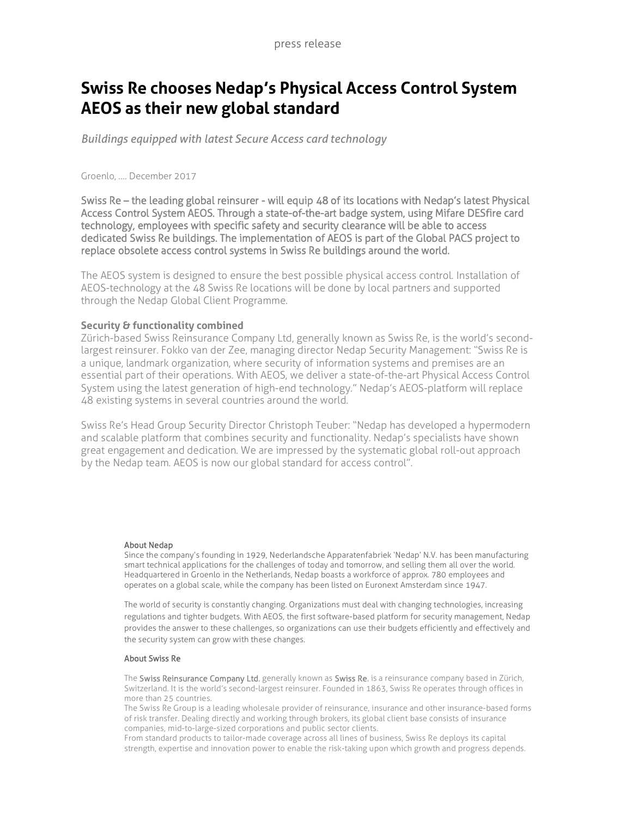## **Swiss Re chooses Nedap's Physical Access Control System AEOS as their new global standard**

*Buildings equipped with latest Secure Access card technology*

Groenlo, …. December 2017

Swiss Re – the leading global reinsurer - will equip 48 of its locations with Nedap's latest Physical Access Control System AEOS. Through a state-of-the-art badge system, using Mifare DESfire card technology, employees with specific safety and security clearance will be able to access dedicated Swiss Re buildings. The implementation of AEOS is part of the Global PACS project to replace obsolete access control systems in Swiss Re buildings around the world.

The AEOS system is designed to ensure the best possible physical access control. Installation of AEOS-technology at the 48 Swiss Re locations will be done by local partners and supported through the Nedap Global Client Programme.

## **Security & functionality combined**

Zürich-based Swiss Reinsurance Company Ltd, generally known as Swiss Re, is the world's secondlargest reinsurer. Fokko van der Zee, managing director Nedap Security Management: "Swiss Re is a unique, landmark organization, where security of information systems and premises are an essential part of their operations. With AEOS, we deliver a state-of-the-art Physical Access Control System using the latest generation of high-end technology." Nedap's AEOS-platform will replace 48 existing systems in several countries around the world.

Swiss Re's Head Group Security Director Christoph Teuber: "Nedap has developed a hypermodern and scalable platform that combines security and functionality. Nedap's specialists have shown great engagement and dedication. We are impressed by the systematic global roll-out approach by the Nedap team. AEOS is now our global standard for access control".

## About Nedap

Since the company's founding in 1929, Nederlandsche Apparatenfabriek 'Nedap' N.V. has been manufacturing smart technical applications for the challenges of today and tomorrow, and selling them all over the world. Headquartered in Groenlo in the Netherlands, Nedap boasts a workforce of approx. 780 employees and operates on a global scale, while the company has been listed on Euronext Amsterdam since 1947.

The world of security is constantly changing. Organizations must deal with changing technologies, increasing regulations and tighter budgets. With AEOS, the first software-based platform for security management, Nedap provides the answer to these challenges, so organizations can use their budgets efficiently and effectively and the security system can grow with these changes.

## About Swiss Re

The Swiss Reinsurance Company Ltd, generally known as Swiss Re, is a reinsurance company based in Zürich, Switzerland. It is the world's second-largest reinsurer. Founded in 1863, Swiss Re operates through offices in more than 25 countries.

The Swiss Re Group is a leading wholesale provider of reinsurance, insurance and other insurance-based forms of risk transfer. Dealing directly and working through brokers, its global client base consists of insurance companies, mid-to-large-sized corporations and public sector clients.

From standard products to tailor-made coverage across all lines of business, Swiss Re deploys its capital strength, expertise and innovation power to enable the risk-taking upon which growth and progress depends.